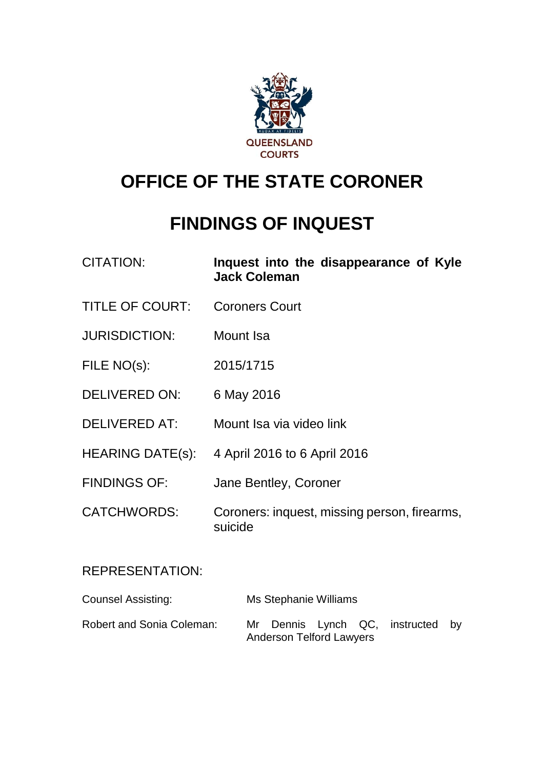

# **OFFICE OF THE STATE CORONER**

## **FINDINGS OF INQUEST**

| <b>CITATION:</b>       | Inquest into the disappearance of Kyle<br><b>Jack Coleman</b> |
|------------------------|---------------------------------------------------------------|
| <b>TITLE OF COURT:</b> | <b>Coroners Court</b>                                         |
| <b>JURISDICTION:</b>   | Mount Isa                                                     |
| FILE NO(s):            | 2015/1715                                                     |
| DELIVERED ON:          | 6 May 2016                                                    |
| <b>DELIVERED AT:</b>   | Mount Isa via video link                                      |
| HEARING DATE(s):       | 4 April 2016 to 6 April 2016                                  |
| <b>FINDINGS OF:</b>    | Jane Bentley, Coroner                                         |
| <b>CATCHWORDS:</b>     | Coroners: inquest, missing person, firearms,<br>suicide       |
| <b>REPRESENTATION:</b> |                                                               |

| Counsel Assisting:        |    | Ms Stephanie Williams           |  |                                |  |
|---------------------------|----|---------------------------------|--|--------------------------------|--|
| Robert and Sonia Coleman: | Mr | <b>Anderson Telford Lawyers</b> |  | Dennis Lynch QC, instructed by |  |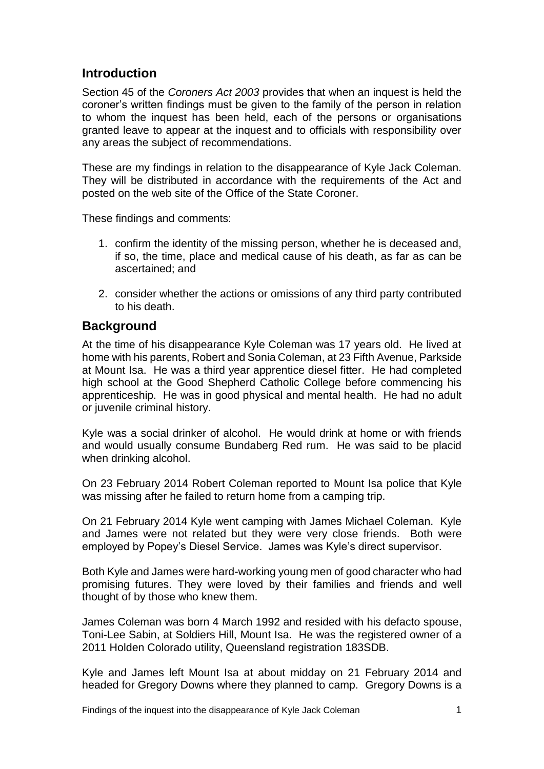## **Introduction**

Section 45 of the *Coroners Act 2003* provides that when an inquest is held the coroner's written findings must be given to the family of the person in relation to whom the inquest has been held, each of the persons or organisations granted leave to appear at the inquest and to officials with responsibility over any areas the subject of recommendations.

These are my findings in relation to the disappearance of Kyle Jack Coleman. They will be distributed in accordance with the requirements of the Act and posted on the web site of the Office of the State Coroner.

These findings and comments:

- 1. confirm the identity of the missing person, whether he is deceased and, if so, the time, place and medical cause of his death, as far as can be ascertained; and
- 2. consider whether the actions or omissions of any third party contributed to his death.

## **Background**

At the time of his disappearance Kyle Coleman was 17 years old. He lived at home with his parents, Robert and Sonia Coleman, at 23 Fifth Avenue, Parkside at Mount Isa. He was a third year apprentice diesel fitter. He had completed high school at the Good Shepherd Catholic College before commencing his apprenticeship. He was in good physical and mental health. He had no adult or juvenile criminal history.

Kyle was a social drinker of alcohol. He would drink at home or with friends and would usually consume Bundaberg Red rum. He was said to be placid when drinking alcohol.

On 23 February 2014 Robert Coleman reported to Mount Isa police that Kyle was missing after he failed to return home from a camping trip.

On 21 February 2014 Kyle went camping with James Michael Coleman. Kyle and James were not related but they were very close friends. Both were employed by Popey's Diesel Service. James was Kyle's direct supervisor.

Both Kyle and James were hard-working young men of good character who had promising futures. They were loved by their families and friends and well thought of by those who knew them.

James Coleman was born 4 March 1992 and resided with his defacto spouse, Toni-Lee Sabin, at Soldiers Hill, Mount Isa. He was the registered owner of a 2011 Holden Colorado utility, Queensland registration 183SDB.

Kyle and James left Mount Isa at about midday on 21 February 2014 and headed for Gregory Downs where they planned to camp. Gregory Downs is a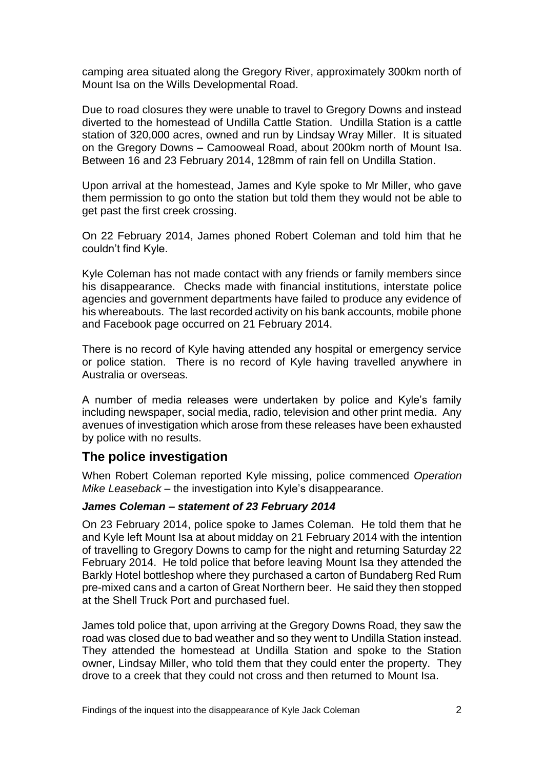camping area situated along the Gregory River, approximately 300km north of Mount Isa on the Wills Developmental Road.

Due to road closures they were unable to travel to Gregory Downs and instead diverted to the homestead of Undilla Cattle Station. Undilla Station is a cattle station of 320,000 acres, owned and run by Lindsay Wray Miller. It is situated on the Gregory Downs – Camooweal Road, about 200km north of Mount Isa. Between 16 and 23 February 2014, 128mm of rain fell on Undilla Station.

Upon arrival at the homestead, James and Kyle spoke to Mr Miller, who gave them permission to go onto the station but told them they would not be able to get past the first creek crossing.

On 22 February 2014, James phoned Robert Coleman and told him that he couldn't find Kyle.

Kyle Coleman has not made contact with any friends or family members since his disappearance. Checks made with financial institutions, interstate police agencies and government departments have failed to produce any evidence of his whereabouts. The last recorded activity on his bank accounts, mobile phone and Facebook page occurred on 21 February 2014.

There is no record of Kyle having attended any hospital or emergency service or police station. There is no record of Kyle having travelled anywhere in Australia or overseas.

A number of media releases were undertaken by police and Kyle's family including newspaper, social media, radio, television and other print media. Any avenues of investigation which arose from these releases have been exhausted by police with no results.

## **The police investigation**

When Robert Coleman reported Kyle missing, police commenced *Operation Mike Leaseback* – the investigation into Kyle's disappearance.

#### *James Coleman – statement of 23 February 2014*

On 23 February 2014, police spoke to James Coleman. He told them that he and Kyle left Mount Isa at about midday on 21 February 2014 with the intention of travelling to Gregory Downs to camp for the night and returning Saturday 22 February 2014. He told police that before leaving Mount Isa they attended the Barkly Hotel bottleshop where they purchased a carton of Bundaberg Red Rum pre-mixed cans and a carton of Great Northern beer. He said they then stopped at the Shell Truck Port and purchased fuel.

James told police that, upon arriving at the Gregory Downs Road, they saw the road was closed due to bad weather and so they went to Undilla Station instead. They attended the homestead at Undilla Station and spoke to the Station owner, Lindsay Miller, who told them that they could enter the property. They drove to a creek that they could not cross and then returned to Mount Isa.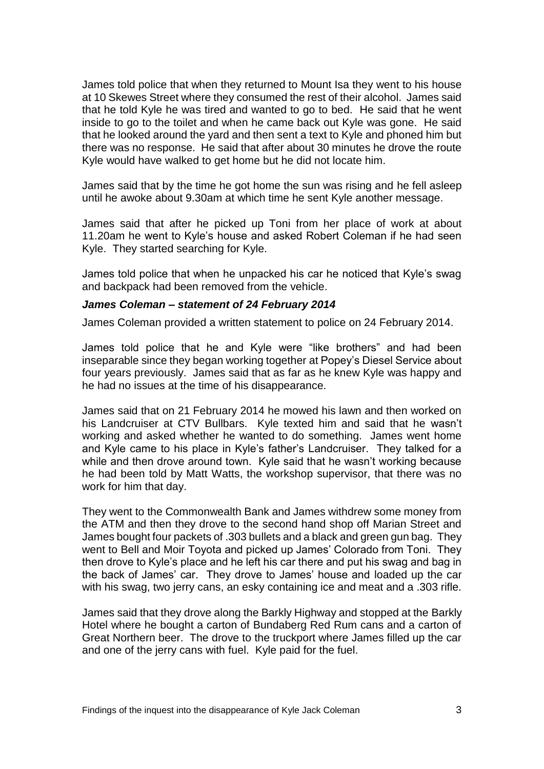James told police that when they returned to Mount Isa they went to his house at 10 Skewes Street where they consumed the rest of their alcohol. James said that he told Kyle he was tired and wanted to go to bed. He said that he went inside to go to the toilet and when he came back out Kyle was gone. He said that he looked around the yard and then sent a text to Kyle and phoned him but there was no response. He said that after about 30 minutes he drove the route Kyle would have walked to get home but he did not locate him.

James said that by the time he got home the sun was rising and he fell asleep until he awoke about 9.30am at which time he sent Kyle another message.

James said that after he picked up Toni from her place of work at about 11.20am he went to Kyle's house and asked Robert Coleman if he had seen Kyle. They started searching for Kyle.

James told police that when he unpacked his car he noticed that Kyle's swag and backpack had been removed from the vehicle.

#### *James Coleman – statement of 24 February 2014*

James Coleman provided a written statement to police on 24 February 2014.

James told police that he and Kyle were "like brothers" and had been inseparable since they began working together at Popey's Diesel Service about four years previously. James said that as far as he knew Kyle was happy and he had no issues at the time of his disappearance.

James said that on 21 February 2014 he mowed his lawn and then worked on his Landcruiser at CTV Bullbars. Kyle texted him and said that he wasn't working and asked whether he wanted to do something. James went home and Kyle came to his place in Kyle's father's Landcruiser. They talked for a while and then drove around town. Kyle said that he wasn't working because he had been told by Matt Watts, the workshop supervisor, that there was no work for him that day.

They went to the Commonwealth Bank and James withdrew some money from the ATM and then they drove to the second hand shop off Marian Street and James bought four packets of .303 bullets and a black and green gun bag. They went to Bell and Moir Toyota and picked up James' Colorado from Toni. They then drove to Kyle's place and he left his car there and put his swag and bag in the back of James' car. They drove to James' house and loaded up the car with his swag, two jerry cans, an esky containing ice and meat and a .303 rifle.

James said that they drove along the Barkly Highway and stopped at the Barkly Hotel where he bought a carton of Bundaberg Red Rum cans and a carton of Great Northern beer. The drove to the truckport where James filled up the car and one of the jerry cans with fuel. Kyle paid for the fuel.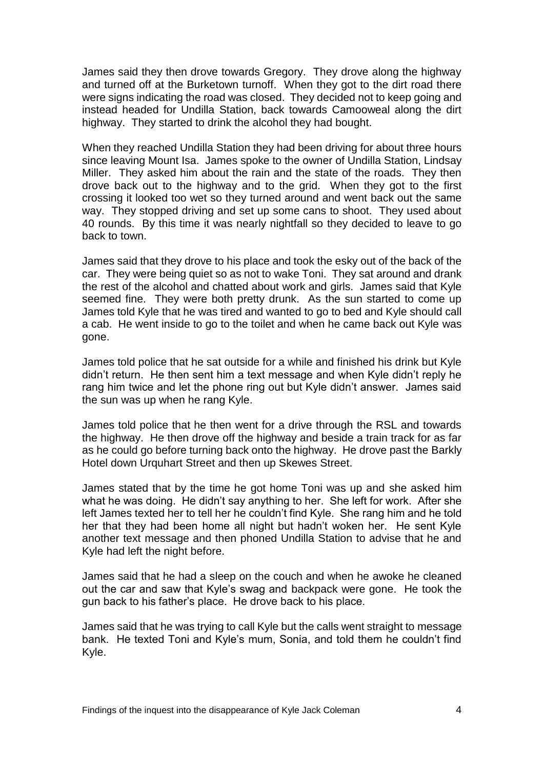James said they then drove towards Gregory. They drove along the highway and turned off at the Burketown turnoff. When they got to the dirt road there were signs indicating the road was closed. They decided not to keep going and instead headed for Undilla Station, back towards Camooweal along the dirt highway. They started to drink the alcohol they had bought.

When they reached Undilla Station they had been driving for about three hours since leaving Mount Isa. James spoke to the owner of Undilla Station, Lindsay Miller. They asked him about the rain and the state of the roads. They then drove back out to the highway and to the grid. When they got to the first crossing it looked too wet so they turned around and went back out the same way. They stopped driving and set up some cans to shoot. They used about 40 rounds. By this time it was nearly nightfall so they decided to leave to go back to town.

James said that they drove to his place and took the esky out of the back of the car. They were being quiet so as not to wake Toni. They sat around and drank the rest of the alcohol and chatted about work and girls. James said that Kyle seemed fine. They were both pretty drunk. As the sun started to come up James told Kyle that he was tired and wanted to go to bed and Kyle should call a cab. He went inside to go to the toilet and when he came back out Kyle was gone.

James told police that he sat outside for a while and finished his drink but Kyle didn't return. He then sent him a text message and when Kyle didn't reply he rang him twice and let the phone ring out but Kyle didn't answer. James said the sun was up when he rang Kyle.

James told police that he then went for a drive through the RSL and towards the highway. He then drove off the highway and beside a train track for as far as he could go before turning back onto the highway. He drove past the Barkly Hotel down Urquhart Street and then up Skewes Street.

James stated that by the time he got home Toni was up and she asked him what he was doing. He didn't say anything to her. She left for work. After she left James texted her to tell her he couldn't find Kyle. She rang him and he told her that they had been home all night but hadn't woken her. He sent Kyle another text message and then phoned Undilla Station to advise that he and Kyle had left the night before.

James said that he had a sleep on the couch and when he awoke he cleaned out the car and saw that Kyle's swag and backpack were gone. He took the gun back to his father's place. He drove back to his place.

James said that he was trying to call Kyle but the calls went straight to message bank. He texted Toni and Kyle's mum, Sonia, and told them he couldn't find Kyle.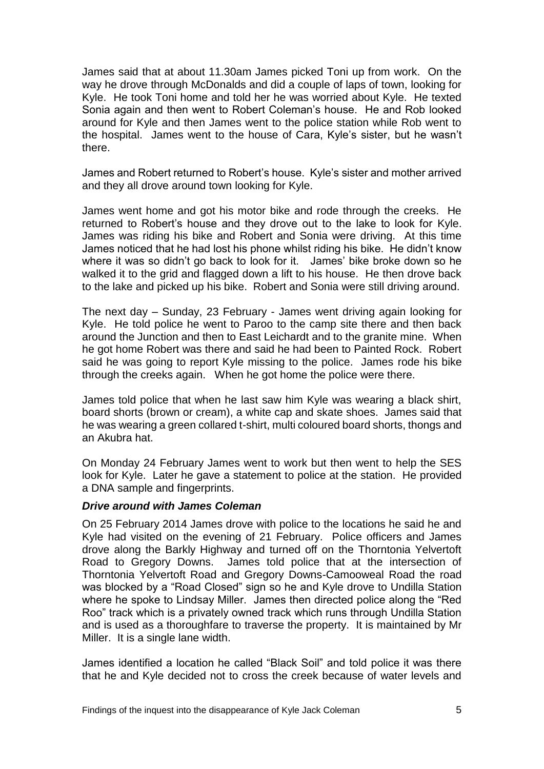James said that at about 11.30am James picked Toni up from work. On the way he drove through McDonalds and did a couple of laps of town, looking for Kyle. He took Toni home and told her he was worried about Kyle. He texted Sonia again and then went to Robert Coleman's house. He and Rob looked around for Kyle and then James went to the police station while Rob went to the hospital. James went to the house of Cara, Kyle's sister, but he wasn't there.

James and Robert returned to Robert's house. Kyle's sister and mother arrived and they all drove around town looking for Kyle.

James went home and got his motor bike and rode through the creeks. He returned to Robert's house and they drove out to the lake to look for Kyle. James was riding his bike and Robert and Sonia were driving. At this time James noticed that he had lost his phone whilst riding his bike. He didn't know where it was so didn't go back to look for it. James' bike broke down so he walked it to the grid and flagged down a lift to his house. He then drove back to the lake and picked up his bike. Robert and Sonia were still driving around.

The next day – Sunday, 23 February - James went driving again looking for Kyle. He told police he went to Paroo to the camp site there and then back around the Junction and then to East Leichardt and to the granite mine. When he got home Robert was there and said he had been to Painted Rock. Robert said he was going to report Kyle missing to the police. James rode his bike through the creeks again. When he got home the police were there.

James told police that when he last saw him Kyle was wearing a black shirt, board shorts (brown or cream), a white cap and skate shoes. James said that he was wearing a green collared t-shirt, multi coloured board shorts, thongs and an Akubra hat.

On Monday 24 February James went to work but then went to help the SES look for Kyle. Later he gave a statement to police at the station. He provided a DNA sample and fingerprints.

#### *Drive around with James Coleman*

On 25 February 2014 James drove with police to the locations he said he and Kyle had visited on the evening of 21 February. Police officers and James drove along the Barkly Highway and turned off on the Thorntonia Yelvertoft Road to Gregory Downs. James told police that at the intersection of Thorntonia Yelvertoft Road and Gregory Downs-Camooweal Road the road was blocked by a "Road Closed" sign so he and Kyle drove to Undilla Station where he spoke to Lindsay Miller. James then directed police along the "Red Roo" track which is a privately owned track which runs through Undilla Station and is used as a thoroughfare to traverse the property. It is maintained by Mr Miller. It is a single lane width.

James identified a location he called "Black Soil" and told police it was there that he and Kyle decided not to cross the creek because of water levels and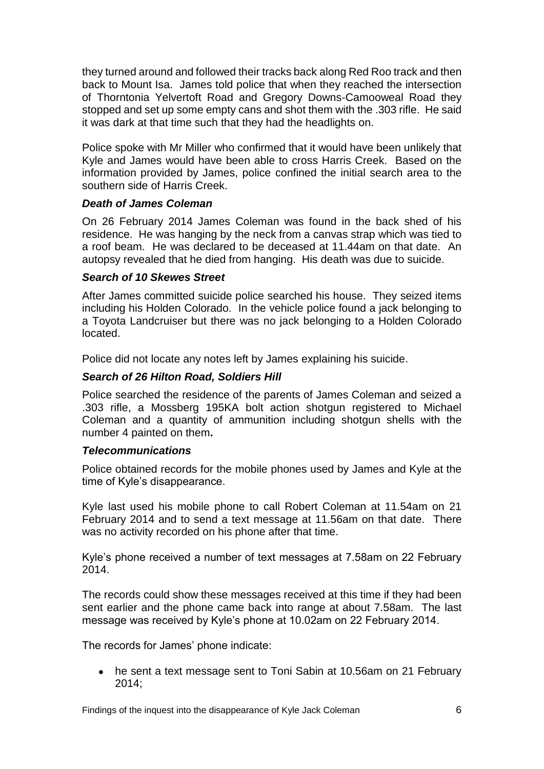they turned around and followed their tracks back along Red Roo track and then back to Mount Isa. James told police that when they reached the intersection of Thorntonia Yelvertoft Road and Gregory Downs-Camooweal Road they stopped and set up some empty cans and shot them with the .303 rifle. He said it was dark at that time such that they had the headlights on.

Police spoke with Mr Miller who confirmed that it would have been unlikely that Kyle and James would have been able to cross Harris Creek. Based on the information provided by James, police confined the initial search area to the southern side of Harris Creek.

#### *Death of James Coleman*

On 26 February 2014 James Coleman was found in the back shed of his residence. He was hanging by the neck from a canvas strap which was tied to a roof beam. He was declared to be deceased at 11.44am on that date. An autopsy revealed that he died from hanging. His death was due to suicide.

#### *Search of 10 Skewes Street*

After James committed suicide police searched his house. They seized items including his Holden Colorado. In the vehicle police found a jack belonging to a Toyota Landcruiser but there was no jack belonging to a Holden Colorado located.

Police did not locate any notes left by James explaining his suicide.

#### *Search of 26 Hilton Road, Soldiers Hill*

Police searched the residence of the parents of James Coleman and seized a .303 rifle, a Mossberg 195KA bolt action shotgun registered to Michael Coleman and a quantity of ammunition including shotgun shells with the number 4 painted on them**.**

#### *Telecommunications*

Police obtained records for the mobile phones used by James and Kyle at the time of Kyle's disappearance.

Kyle last used his mobile phone to call Robert Coleman at 11.54am on 21 February 2014 and to send a text message at 11.56am on that date. There was no activity recorded on his phone after that time.

Kyle's phone received a number of text messages at 7.58am on 22 February 2014.

The records could show these messages received at this time if they had been sent earlier and the phone came back into range at about 7.58am. The last message was received by Kyle's phone at 10.02am on 22 February 2014.

The records for James' phone indicate:

• he sent a text message sent to Toni Sabin at 10.56am on 21 February 2014;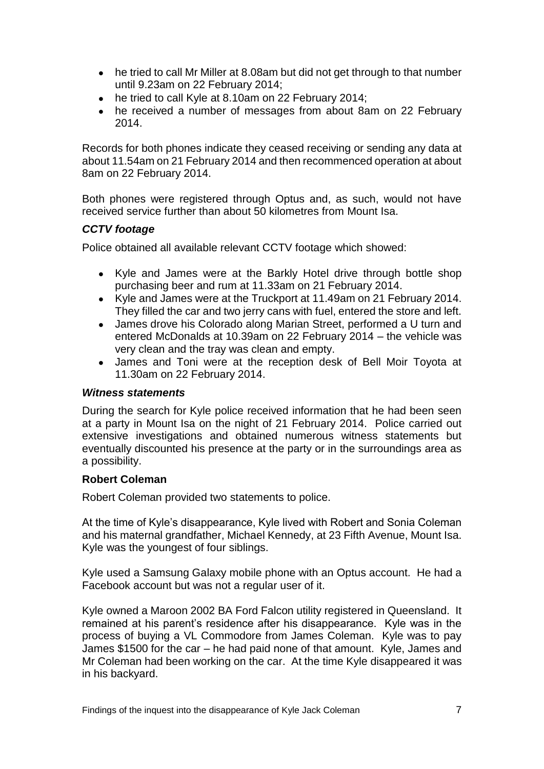- he tried to call Mr Miller at 8.08am but did not get through to that number until 9.23am on 22 February 2014;
- he tried to call Kyle at 8.10am on 22 February 2014:
- he received a number of messages from about 8am on 22 February 2014.

Records for both phones indicate they ceased receiving or sending any data at about 11.54am on 21 February 2014 and then recommenced operation at about 8am on 22 February 2014.

Both phones were registered through Optus and, as such, would not have received service further than about 50 kilometres from Mount Isa.

#### *CCTV footage*

Police obtained all available relevant CCTV footage which showed:

- Kyle and James were at the Barkly Hotel drive through bottle shop purchasing beer and rum at 11.33am on 21 February 2014.
- Kyle and James were at the Truckport at 11.49am on 21 February 2014. They filled the car and two jerry cans with fuel, entered the store and left.
- James drove his Colorado along Marian Street, performed a U turn and entered McDonalds at 10.39am on 22 February 2014 – the vehicle was very clean and the tray was clean and empty.
- James and Toni were at the reception desk of Bell Moir Toyota at 11.30am on 22 February 2014.

#### *Witness statements*

During the search for Kyle police received information that he had been seen at a party in Mount Isa on the night of 21 February 2014. Police carried out extensive investigations and obtained numerous witness statements but eventually discounted his presence at the party or in the surroundings area as a possibility.

#### **Robert Coleman**

Robert Coleman provided two statements to police.

At the time of Kyle's disappearance, Kyle lived with Robert and Sonia Coleman and his maternal grandfather, Michael Kennedy, at 23 Fifth Avenue, Mount Isa. Kyle was the youngest of four siblings.

Kyle used a Samsung Galaxy mobile phone with an Optus account. He had a Facebook account but was not a regular user of it.

Kyle owned a Maroon 2002 BA Ford Falcon utility registered in Queensland. It remained at his parent's residence after his disappearance. Kyle was in the process of buying a VL Commodore from James Coleman. Kyle was to pay James \$1500 for the car – he had paid none of that amount. Kyle, James and Mr Coleman had been working on the car. At the time Kyle disappeared it was in his backyard.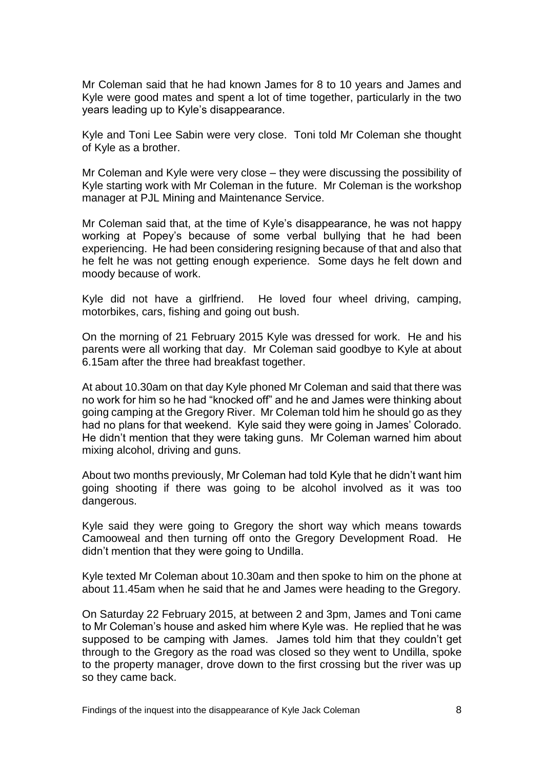Mr Coleman said that he had known James for 8 to 10 years and James and Kyle were good mates and spent a lot of time together, particularly in the two years leading up to Kyle's disappearance.

Kyle and Toni Lee Sabin were very close. Toni told Mr Coleman she thought of Kyle as a brother.

Mr Coleman and Kyle were very close – they were discussing the possibility of Kyle starting work with Mr Coleman in the future. Mr Coleman is the workshop manager at PJL Mining and Maintenance Service.

Mr Coleman said that, at the time of Kyle's disappearance, he was not happy working at Popey's because of some verbal bullying that he had been experiencing. He had been considering resigning because of that and also that he felt he was not getting enough experience. Some days he felt down and moody because of work.

Kyle did not have a girlfriend. He loved four wheel driving, camping, motorbikes, cars, fishing and going out bush.

On the morning of 21 February 2015 Kyle was dressed for work. He and his parents were all working that day. Mr Coleman said goodbye to Kyle at about 6.15am after the three had breakfast together.

At about 10.30am on that day Kyle phoned Mr Coleman and said that there was no work for him so he had "knocked off" and he and James were thinking about going camping at the Gregory River. Mr Coleman told him he should go as they had no plans for that weekend. Kyle said they were going in James' Colorado. He didn't mention that they were taking guns. Mr Coleman warned him about mixing alcohol, driving and guns.

About two months previously, Mr Coleman had told Kyle that he didn't want him going shooting if there was going to be alcohol involved as it was too dangerous.

Kyle said they were going to Gregory the short way which means towards Camooweal and then turning off onto the Gregory Development Road. He didn't mention that they were going to Undilla.

Kyle texted Mr Coleman about 10.30am and then spoke to him on the phone at about 11.45am when he said that he and James were heading to the Gregory.

On Saturday 22 February 2015, at between 2 and 3pm, James and Toni came to Mr Coleman's house and asked him where Kyle was. He replied that he was supposed to be camping with James. James told him that they couldn't get through to the Gregory as the road was closed so they went to Undilla, spoke to the property manager, drove down to the first crossing but the river was up so they came back.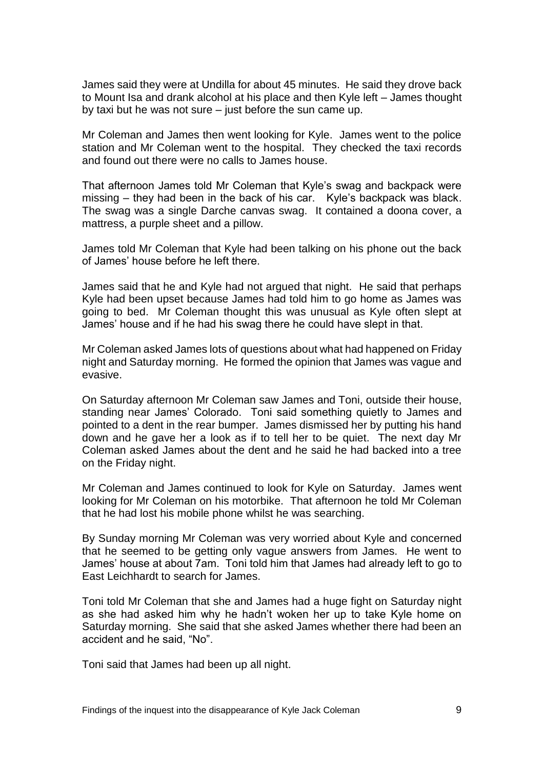James said they were at Undilla for about 45 minutes. He said they drove back to Mount Isa and drank alcohol at his place and then Kyle left – James thought by taxi but he was not sure – just before the sun came up.

Mr Coleman and James then went looking for Kyle. James went to the police station and Mr Coleman went to the hospital. They checked the taxi records and found out there were no calls to James house.

That afternoon James told Mr Coleman that Kyle's swag and backpack were missing – they had been in the back of his car. Kyle's backpack was black. The swag was a single Darche canvas swag. It contained a doona cover, a mattress, a purple sheet and a pillow.

James told Mr Coleman that Kyle had been talking on his phone out the back of James' house before he left there.

James said that he and Kyle had not argued that night. He said that perhaps Kyle had been upset because James had told him to go home as James was going to bed. Mr Coleman thought this was unusual as Kyle often slept at James' house and if he had his swag there he could have slept in that.

Mr Coleman asked James lots of questions about what had happened on Friday night and Saturday morning. He formed the opinion that James was vague and evasive.

On Saturday afternoon Mr Coleman saw James and Toni, outside their house, standing near James' Colorado. Toni said something quietly to James and pointed to a dent in the rear bumper. James dismissed her by putting his hand down and he gave her a look as if to tell her to be quiet. The next day Mr Coleman asked James about the dent and he said he had backed into a tree on the Friday night.

Mr Coleman and James continued to look for Kyle on Saturday. James went looking for Mr Coleman on his motorbike. That afternoon he told Mr Coleman that he had lost his mobile phone whilst he was searching.

By Sunday morning Mr Coleman was very worried about Kyle and concerned that he seemed to be getting only vague answers from James. He went to James' house at about 7am. Toni told him that James had already left to go to East Leichhardt to search for James.

Toni told Mr Coleman that she and James had a huge fight on Saturday night as she had asked him why he hadn't woken her up to take Kyle home on Saturday morning. She said that she asked James whether there had been an accident and he said, "No".

Toni said that James had been up all night.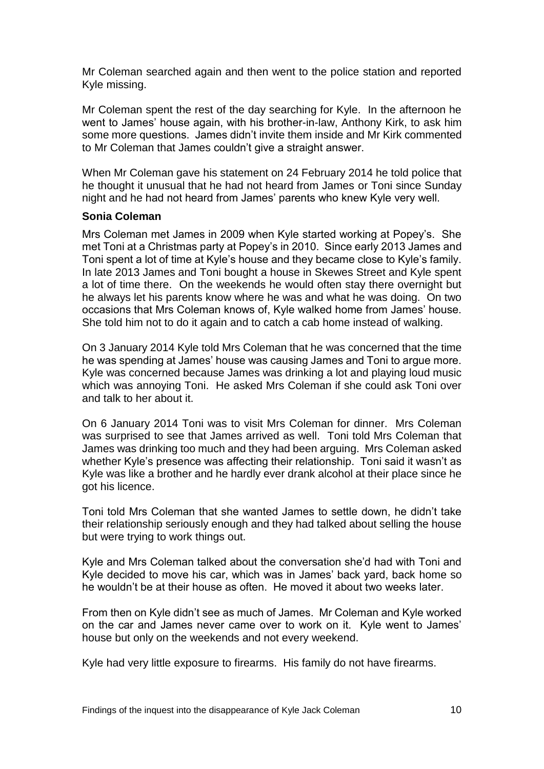Mr Coleman searched again and then went to the police station and reported Kyle missing.

Mr Coleman spent the rest of the day searching for Kyle. In the afternoon he went to James' house again, with his brother-in-law, Anthony Kirk, to ask him some more questions. James didn't invite them inside and Mr Kirk commented to Mr Coleman that James couldn't give a straight answer.

When Mr Coleman gave his statement on 24 February 2014 he told police that he thought it unusual that he had not heard from James or Toni since Sunday night and he had not heard from James' parents who knew Kyle very well.

#### **Sonia Coleman**

Mrs Coleman met James in 2009 when Kyle started working at Popey's. She met Toni at a Christmas party at Popey's in 2010. Since early 2013 James and Toni spent a lot of time at Kyle's house and they became close to Kyle's family. In late 2013 James and Toni bought a house in Skewes Street and Kyle spent a lot of time there. On the weekends he would often stay there overnight but he always let his parents know where he was and what he was doing. On two occasions that Mrs Coleman knows of, Kyle walked home from James' house. She told him not to do it again and to catch a cab home instead of walking.

On 3 January 2014 Kyle told Mrs Coleman that he was concerned that the time he was spending at James' house was causing James and Toni to argue more. Kyle was concerned because James was drinking a lot and playing loud music which was annoying Toni. He asked Mrs Coleman if she could ask Toni over and talk to her about it.

On 6 January 2014 Toni was to visit Mrs Coleman for dinner. Mrs Coleman was surprised to see that James arrived as well. Toni told Mrs Coleman that James was drinking too much and they had been arguing. Mrs Coleman asked whether Kyle's presence was affecting their relationship. Toni said it wasn't as Kyle was like a brother and he hardly ever drank alcohol at their place since he got his licence.

Toni told Mrs Coleman that she wanted James to settle down, he didn't take their relationship seriously enough and they had talked about selling the house but were trying to work things out.

Kyle and Mrs Coleman talked about the conversation she'd had with Toni and Kyle decided to move his car, which was in James' back yard, back home so he wouldn't be at their house as often. He moved it about two weeks later.

From then on Kyle didn't see as much of James. Mr Coleman and Kyle worked on the car and James never came over to work on it. Kyle went to James' house but only on the weekends and not every weekend.

Kyle had very little exposure to firearms. His family do not have firearms.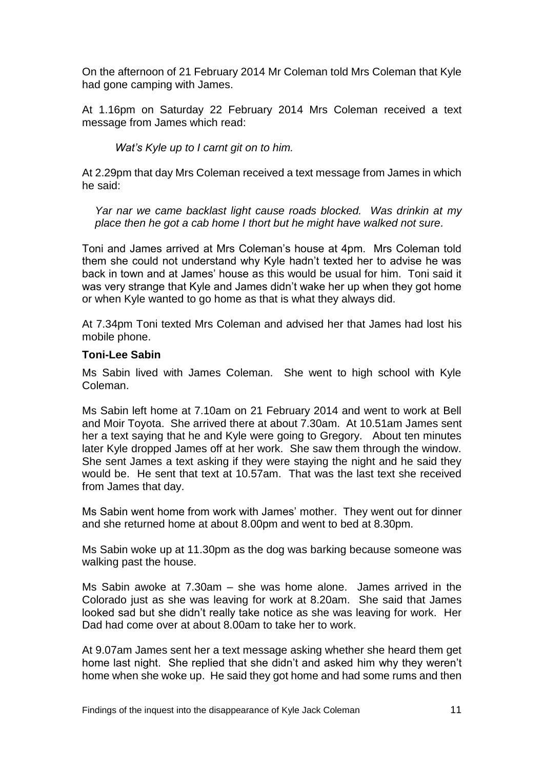On the afternoon of 21 February 2014 Mr Coleman told Mrs Coleman that Kyle had gone camping with James.

At 1.16pm on Saturday 22 February 2014 Mrs Coleman received a text message from James which read:

*Wat's Kyle up to I carnt git on to him.*

At 2.29pm that day Mrs Coleman received a text message from James in which he said:

*Yar nar we came backlast light cause roads blocked. Was drinkin at my place then he got a cab home I thort but he might have walked not sure.*

Toni and James arrived at Mrs Coleman's house at 4pm. Mrs Coleman told them she could not understand why Kyle hadn't texted her to advise he was back in town and at James' house as this would be usual for him. Toni said it was very strange that Kyle and James didn't wake her up when they got home or when Kyle wanted to go home as that is what they always did.

At 7.34pm Toni texted Mrs Coleman and advised her that James had lost his mobile phone.

#### **Toni-Lee Sabin**

Ms Sabin lived with James Coleman. She went to high school with Kyle Coleman.

Ms Sabin left home at 7.10am on 21 February 2014 and went to work at Bell and Moir Toyota. She arrived there at about 7.30am. At 10.51am James sent her a text saying that he and Kyle were going to Gregory. About ten minutes later Kyle dropped James off at her work. She saw them through the window. She sent James a text asking if they were staying the night and he said they would be. He sent that text at 10.57am. That was the last text she received from James that day.

Ms Sabin went home from work with James' mother. They went out for dinner and she returned home at about 8.00pm and went to bed at 8.30pm.

Ms Sabin woke up at 11.30pm as the dog was barking because someone was walking past the house.

Ms Sabin awoke at 7.30am – she was home alone. James arrived in the Colorado just as she was leaving for work at 8.20am. She said that James looked sad but she didn't really take notice as she was leaving for work. Her Dad had come over at about 8.00am to take her to work.

At 9.07am James sent her a text message asking whether she heard them get home last night. She replied that she didn't and asked him why they weren't home when she woke up. He said they got home and had some rums and then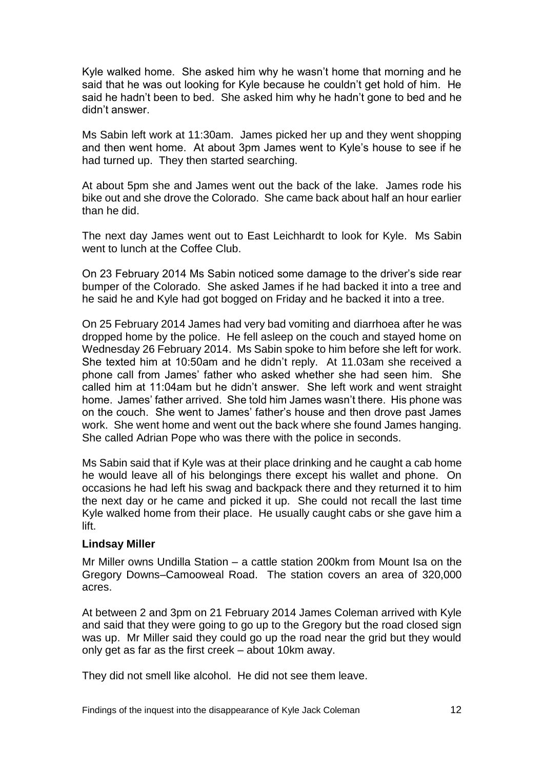Kyle walked home. She asked him why he wasn't home that morning and he said that he was out looking for Kyle because he couldn't get hold of him. He said he hadn't been to bed. She asked him why he hadn't gone to bed and he didn't answer.

Ms Sabin left work at 11:30am. James picked her up and they went shopping and then went home. At about 3pm James went to Kyle's house to see if he had turned up. They then started searching.

At about 5pm she and James went out the back of the lake. James rode his bike out and she drove the Colorado. She came back about half an hour earlier than he did.

The next day James went out to East Leichhardt to look for Kyle. Ms Sabin went to lunch at the Coffee Club.

On 23 February 2014 Ms Sabin noticed some damage to the driver's side rear bumper of the Colorado. She asked James if he had backed it into a tree and he said he and Kyle had got bogged on Friday and he backed it into a tree.

On 25 February 2014 James had very bad vomiting and diarrhoea after he was dropped home by the police. He fell asleep on the couch and stayed home on Wednesday 26 February 2014. Ms Sabin spoke to him before she left for work. She texted him at 10:50am and he didn't reply. At 11.03am she received a phone call from James' father who asked whether she had seen him. She called him at 11:04am but he didn't answer. She left work and went straight home. James' father arrived. She told him James wasn't there. His phone was on the couch. She went to James' father's house and then drove past James work. She went home and went out the back where she found James hanging. She called Adrian Pope who was there with the police in seconds.

Ms Sabin said that if Kyle was at their place drinking and he caught a cab home he would leave all of his belongings there except his wallet and phone. On occasions he had left his swag and backpack there and they returned it to him the next day or he came and picked it up. She could not recall the last time Kyle walked home from their place. He usually caught cabs or she gave him a lift.

#### **Lindsay Miller**

Mr Miller owns Undilla Station – a cattle station 200km from Mount Isa on the Gregory Downs–Camooweal Road. The station covers an area of 320,000 acres.

At between 2 and 3pm on 21 February 2014 James Coleman arrived with Kyle and said that they were going to go up to the Gregory but the road closed sign was up. Mr Miller said they could go up the road near the grid but they would only get as far as the first creek – about 10km away.

They did not smell like alcohol. He did not see them leave.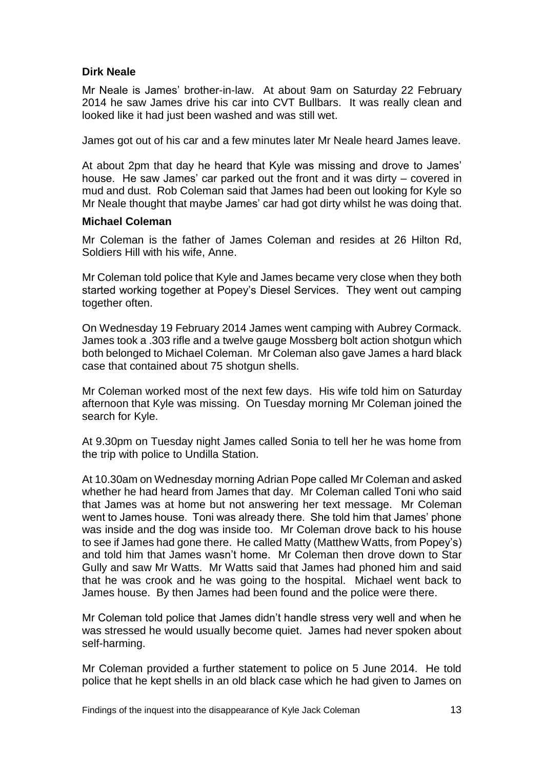#### **Dirk Neale**

Mr Neale is James' brother-in-law. At about 9am on Saturday 22 February 2014 he saw James drive his car into CVT Bullbars. It was really clean and looked like it had just been washed and was still wet.

James got out of his car and a few minutes later Mr Neale heard James leave.

At about 2pm that day he heard that Kyle was missing and drove to James' house. He saw James' car parked out the front and it was dirty – covered in mud and dust. Rob Coleman said that James had been out looking for Kyle so Mr Neale thought that maybe James' car had got dirty whilst he was doing that.

#### **Michael Coleman**

Mr Coleman is the father of James Coleman and resides at 26 Hilton Rd, Soldiers Hill with his wife, Anne.

Mr Coleman told police that Kyle and James became very close when they both started working together at Popey's Diesel Services. They went out camping together often.

On Wednesday 19 February 2014 James went camping with Aubrey Cormack. James took a .303 rifle and a twelve gauge Mossberg bolt action shotgun which both belonged to Michael Coleman. Mr Coleman also gave James a hard black case that contained about 75 shotgun shells.

Mr Coleman worked most of the next few days. His wife told him on Saturday afternoon that Kyle was missing. On Tuesday morning Mr Coleman joined the search for Kyle.

At 9.30pm on Tuesday night James called Sonia to tell her he was home from the trip with police to Undilla Station.

At 10.30am on Wednesday morning Adrian Pope called Mr Coleman and asked whether he had heard from James that day. Mr Coleman called Toni who said that James was at home but not answering her text message. Mr Coleman went to James house. Toni was already there. She told him that James' phone was inside and the dog was inside too. Mr Coleman drove back to his house to see if James had gone there. He called Matty (Matthew Watts, from Popey's) and told him that James wasn't home. Mr Coleman then drove down to Star Gully and saw Mr Watts. Mr Watts said that James had phoned him and said that he was crook and he was going to the hospital. Michael went back to James house. By then James had been found and the police were there.

Mr Coleman told police that James didn't handle stress very well and when he was stressed he would usually become quiet. James had never spoken about self-harming.

Mr Coleman provided a further statement to police on 5 June 2014. He told police that he kept shells in an old black case which he had given to James on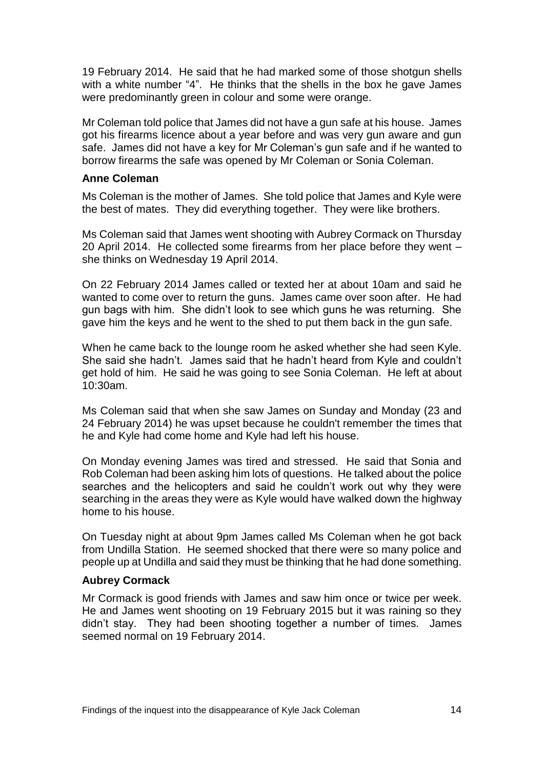19 February 2014. He said that he had marked some of those shotgun shells with a white number "4". He thinks that the shells in the box he gave James were predominantly green in colour and some were orange.

Mr Coleman told police that James did not have a gun safe at his house. James got his firearms licence about a year before and was very gun aware and gun safe. James did not have a key for Mr Coleman's gun safe and if he wanted to borrow firearms the safe was opened by Mr Coleman or Sonia Coleman.

#### **Anne Coleman**

Ms Coleman is the mother of James. She told police that James and Kyle were the best of mates. They did everything together. They were like brothers.

Ms Coleman said that James went shooting with Aubrey Cormack on Thursday 20 April 2014. He collected some firearms from her place before they went – she thinks on Wednesday 19 April 2014.

On 22 February 2014 James called or texted her at about 10am and said he wanted to come over to return the guns. James came over soon after. He had gun bags with him. She didn't look to see which guns he was returning. She gave him the keys and he went to the shed to put them back in the gun safe.

When he came back to the lounge room he asked whether she had seen Kyle. She said she hadn't. James said that he hadn't heard from Kyle and couldn't get hold of him. He said he was going to see Sonia Coleman. He left at about 10:30am.

Ms Coleman said that when she saw James on Sunday and Monday (23 and 24 February 2014) he was upset because he couldn't remember the times that he and Kyle had come home and Kyle had left his house.

On Monday evening James was tired and stressed. He said that Sonia and Rob Coleman had been asking him lots of questions. He talked about the police searches and the helicopters and said he couldn't work out why they were searching in the areas they were as Kyle would have walked down the highway home to his house.

On Tuesday night at about 9pm James called Ms Coleman when he got back from Undilla Station. He seemed shocked that there were so many police and people up at Undilla and said they must be thinking that he had done something.

#### **Aubrey Cormack**

Mr Cormack is good friends with James and saw him once or twice per week. He and James went shooting on 19 February 2015 but it was raining so they didn't stay. They had been shooting together a number of times. James seemed normal on 19 February 2014.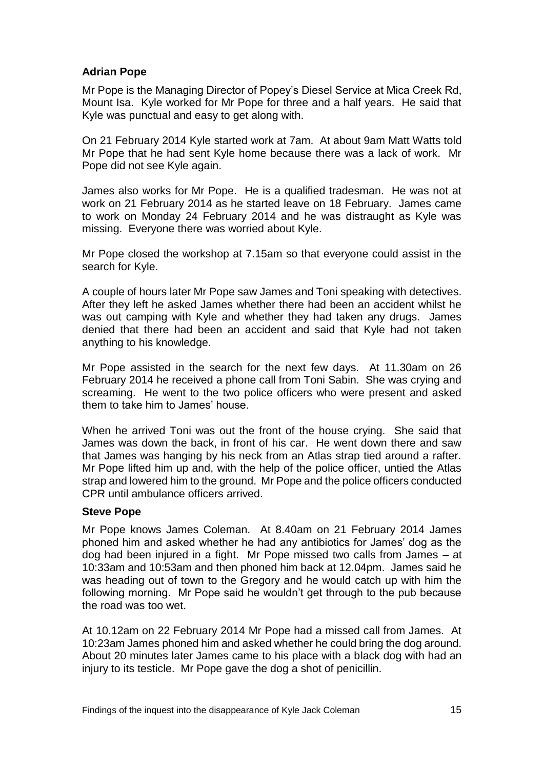#### **Adrian Pope**

Mr Pope is the Managing Director of Popey's Diesel Service at Mica Creek Rd, Mount Isa. Kyle worked for Mr Pope for three and a half years. He said that Kyle was punctual and easy to get along with.

On 21 February 2014 Kyle started work at 7am. At about 9am Matt Watts told Mr Pope that he had sent Kyle home because there was a lack of work. Mr Pope did not see Kyle again.

James also works for Mr Pope. He is a qualified tradesman. He was not at work on 21 February 2014 as he started leave on 18 February. James came to work on Monday 24 February 2014 and he was distraught as Kyle was missing. Everyone there was worried about Kyle.

Mr Pope closed the workshop at 7.15am so that everyone could assist in the search for Kyle.

A couple of hours later Mr Pope saw James and Toni speaking with detectives. After they left he asked James whether there had been an accident whilst he was out camping with Kyle and whether they had taken any drugs. James denied that there had been an accident and said that Kyle had not taken anything to his knowledge.

Mr Pope assisted in the search for the next few days. At 11.30am on 26 February 2014 he received a phone call from Toni Sabin. She was crying and screaming. He went to the two police officers who were present and asked them to take him to James' house.

When he arrived Toni was out the front of the house crying. She said that James was down the back, in front of his car. He went down there and saw that James was hanging by his neck from an Atlas strap tied around a rafter. Mr Pope lifted him up and, with the help of the police officer, untied the Atlas strap and lowered him to the ground. Mr Pope and the police officers conducted CPR until ambulance officers arrived.

#### **Steve Pope**

Mr Pope knows James Coleman. At 8.40am on 21 February 2014 James phoned him and asked whether he had any antibiotics for James' dog as the dog had been injured in a fight. Mr Pope missed two calls from James – at 10:33am and 10:53am and then phoned him back at 12.04pm. James said he was heading out of town to the Gregory and he would catch up with him the following morning. Mr Pope said he wouldn't get through to the pub because the road was too wet.

At 10.12am on 22 February 2014 Mr Pope had a missed call from James. At 10:23am James phoned him and asked whether he could bring the dog around. About 20 minutes later James came to his place with a black dog with had an injury to its testicle. Mr Pope gave the dog a shot of penicillin.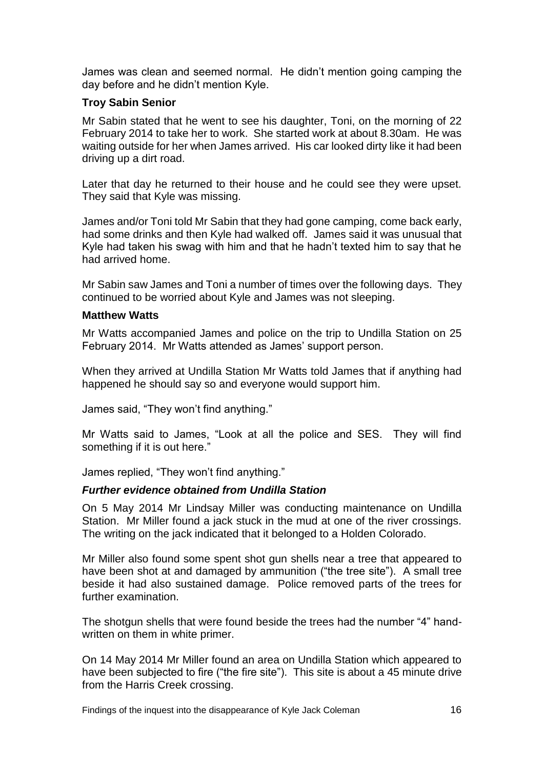James was clean and seemed normal. He didn't mention going camping the day before and he didn't mention Kyle.

#### **Troy Sabin Senior**

Mr Sabin stated that he went to see his daughter, Toni, on the morning of 22 February 2014 to take her to work. She started work at about 8.30am. He was waiting outside for her when James arrived. His car looked dirty like it had been driving up a dirt road.

Later that day he returned to their house and he could see they were upset. They said that Kyle was missing.

James and/or Toni told Mr Sabin that they had gone camping, come back early, had some drinks and then Kyle had walked off. James said it was unusual that Kyle had taken his swag with him and that he hadn't texted him to say that he had arrived home.

Mr Sabin saw James and Toni a number of times over the following days. They continued to be worried about Kyle and James was not sleeping.

#### **Matthew Watts**

Mr Watts accompanied James and police on the trip to Undilla Station on 25 February 2014. Mr Watts attended as James' support person.

When they arrived at Undilla Station Mr Watts told James that if anything had happened he should say so and everyone would support him.

James said, "They won't find anything."

Mr Watts said to James, "Look at all the police and SES. They will find something if it is out here."

James replied, "They won't find anything."

#### *Further evidence obtained from Undilla Station*

On 5 May 2014 Mr Lindsay Miller was conducting maintenance on Undilla Station. Mr Miller found a jack stuck in the mud at one of the river crossings. The writing on the jack indicated that it belonged to a Holden Colorado.

Mr Miller also found some spent shot gun shells near a tree that appeared to have been shot at and damaged by ammunition ("the tree site"). A small tree beside it had also sustained damage. Police removed parts of the trees for further examination.

The shotgun shells that were found beside the trees had the number "4" handwritten on them in white primer.

On 14 May 2014 Mr Miller found an area on Undilla Station which appeared to have been subjected to fire ("the fire site"). This site is about a 45 minute drive from the Harris Creek crossing.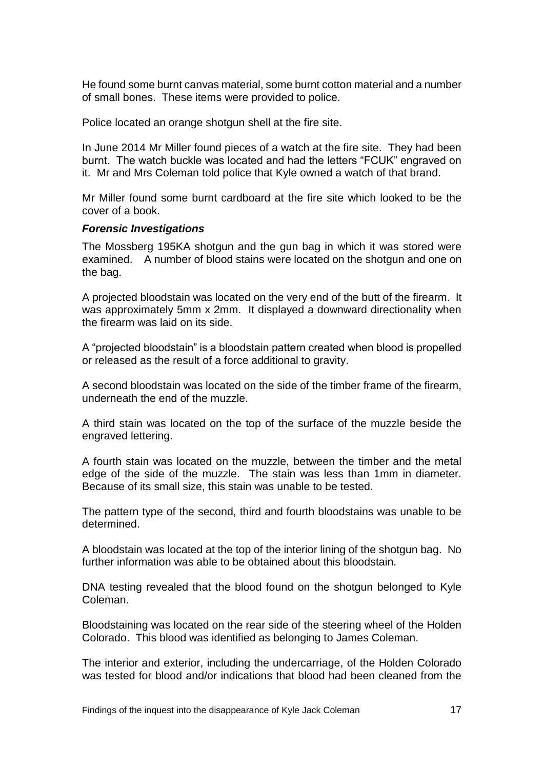He found some burnt canvas material, some burnt cotton material and a number of small bones. These items were provided to police.

Police located an orange shotgun shell at the fire site.

In June 2014 Mr Miller found pieces of a watch at the fire site. They had been burnt. The watch buckle was located and had the letters "FCUK" engraved on it. Mr and Mrs Coleman told police that Kyle owned a watch of that brand.

Mr Miller found some burnt cardboard at the fire site which looked to be the cover of a book.

#### *Forensic Investigations*

The Mossberg 195KA shotgun and the gun bag in which it was stored were examined. A number of blood stains were located on the shotgun and one on the bag.

A projected bloodstain was located on the very end of the butt of the firearm. It was approximately 5mm x 2mm. It displayed a downward directionality when the firearm was laid on its side.

A "projected bloodstain" is a bloodstain pattern created when blood is propelled or released as the result of a force additional to gravity.

A second bloodstain was located on the side of the timber frame of the firearm, underneath the end of the muzzle.

A third stain was located on the top of the surface of the muzzle beside the engraved lettering.

A fourth stain was located on the muzzle, between the timber and the metal edge of the side of the muzzle. The stain was less than 1mm in diameter. Because of its small size, this stain was unable to be tested.

The pattern type of the second, third and fourth bloodstains was unable to be determined.

A bloodstain was located at the top of the interior lining of the shotgun bag. No further information was able to be obtained about this bloodstain.

DNA testing revealed that the blood found on the shotgun belonged to Kyle Coleman.

Bloodstaining was located on the rear side of the steering wheel of the Holden Colorado. This blood was identified as belonging to James Coleman.

The interior and exterior, including the undercarriage, of the Holden Colorado was tested for blood and/or indications that blood had been cleaned from the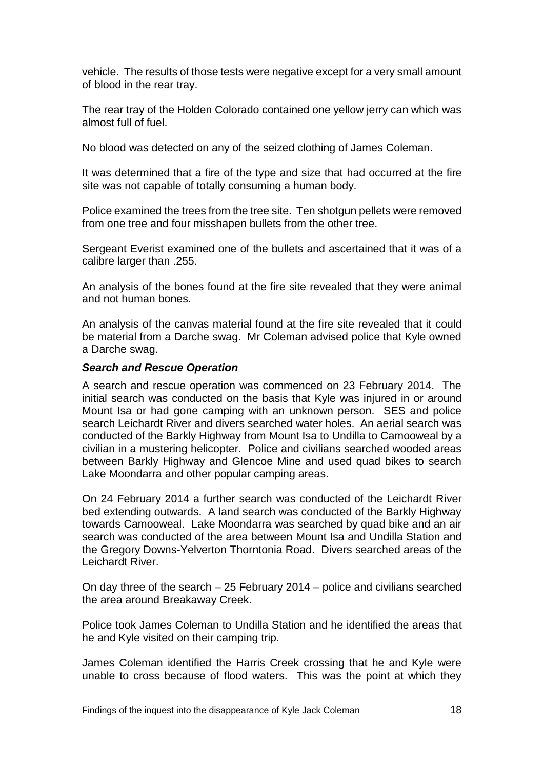vehicle. The results of those tests were negative except for a very small amount of blood in the rear tray.

The rear tray of the Holden Colorado contained one yellow jerry can which was almost full of fuel.

No blood was detected on any of the seized clothing of James Coleman.

It was determined that a fire of the type and size that had occurred at the fire site was not capable of totally consuming a human body.

Police examined the trees from the tree site. Ten shotgun pellets were removed from one tree and four misshapen bullets from the other tree.

Sergeant Everist examined one of the bullets and ascertained that it was of a calibre larger than .255.

An analysis of the bones found at the fire site revealed that they were animal and not human bones.

An analysis of the canvas material found at the fire site revealed that it could be material from a Darche swag. Mr Coleman advised police that Kyle owned a Darche swag.

#### *Search and Rescue Operation*

A search and rescue operation was commenced on 23 February 2014. The initial search was conducted on the basis that Kyle was injured in or around Mount Isa or had gone camping with an unknown person. SES and police search Leichardt River and divers searched water holes. An aerial search was conducted of the Barkly Highway from Mount Isa to Undilla to Camooweal by a civilian in a mustering helicopter. Police and civilians searched wooded areas between Barkly Highway and Glencoe Mine and used quad bikes to search Lake Moondarra and other popular camping areas.

On 24 February 2014 a further search was conducted of the Leichardt River bed extending outwards. A land search was conducted of the Barkly Highway towards Camooweal. Lake Moondarra was searched by quad bike and an air search was conducted of the area between Mount Isa and Undilla Station and the Gregory Downs-Yelverton Thorntonia Road. Divers searched areas of the Leichardt River.

On day three of the search – 25 February 2014 – police and civilians searched the area around Breakaway Creek.

Police took James Coleman to Undilla Station and he identified the areas that he and Kyle visited on their camping trip.

James Coleman identified the Harris Creek crossing that he and Kyle were unable to cross because of flood waters. This was the point at which they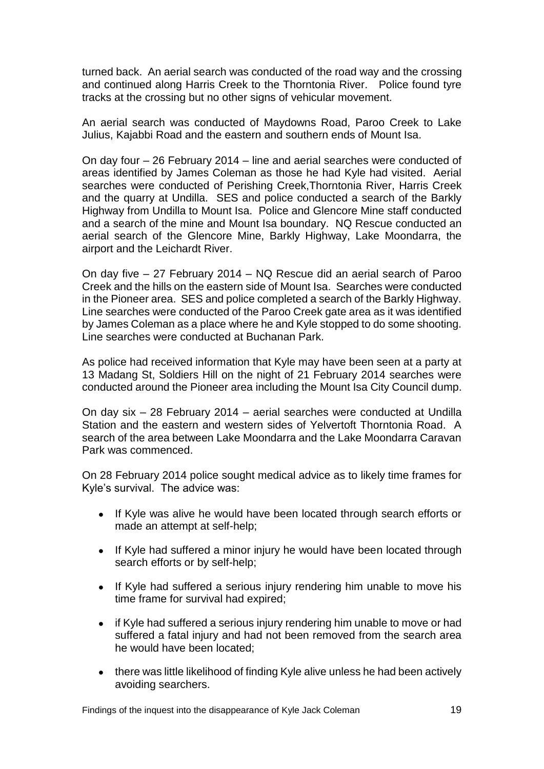turned back. An aerial search was conducted of the road way and the crossing and continued along Harris Creek to the Thorntonia River. Police found tyre tracks at the crossing but no other signs of vehicular movement.

An aerial search was conducted of Maydowns Road, Paroo Creek to Lake Julius, Kajabbi Road and the eastern and southern ends of Mount Isa.

On day four – 26 February 2014 – line and aerial searches were conducted of areas identified by James Coleman as those he had Kyle had visited. Aerial searches were conducted of Perishing Creek,Thorntonia River, Harris Creek and the quarry at Undilla. SES and police conducted a search of the Barkly Highway from Undilla to Mount Isa. Police and Glencore Mine staff conducted and a search of the mine and Mount Isa boundary. NQ Rescue conducted an aerial search of the Glencore Mine, Barkly Highway, Lake Moondarra, the airport and the Leichardt River.

On day five – 27 February 2014 – NQ Rescue did an aerial search of Paroo Creek and the hills on the eastern side of Mount Isa. Searches were conducted in the Pioneer area. SES and police completed a search of the Barkly Highway. Line searches were conducted of the Paroo Creek gate area as it was identified by James Coleman as a place where he and Kyle stopped to do some shooting. Line searches were conducted at Buchanan Park.

As police had received information that Kyle may have been seen at a party at 13 Madang St, Soldiers Hill on the night of 21 February 2014 searches were conducted around the Pioneer area including the Mount Isa City Council dump.

On day six – 28 February 2014 – aerial searches were conducted at Undilla Station and the eastern and western sides of Yelvertoft Thorntonia Road. A search of the area between Lake Moondarra and the Lake Moondarra Caravan Park was commenced.

On 28 February 2014 police sought medical advice as to likely time frames for Kyle's survival. The advice was:

- If Kyle was alive he would have been located through search efforts or made an attempt at self-help;
- If Kyle had suffered a minor injury he would have been located through search efforts or by self-help;
- If Kyle had suffered a serious injury rendering him unable to move his time frame for survival had expired;
- if Kyle had suffered a serious injury rendering him unable to move or had suffered a fatal injury and had not been removed from the search area he would have been located;
- there was little likelihood of finding Kyle alive unless he had been actively avoiding searchers.

Findings of the inquest into the disappearance of Kyle Jack Coleman 19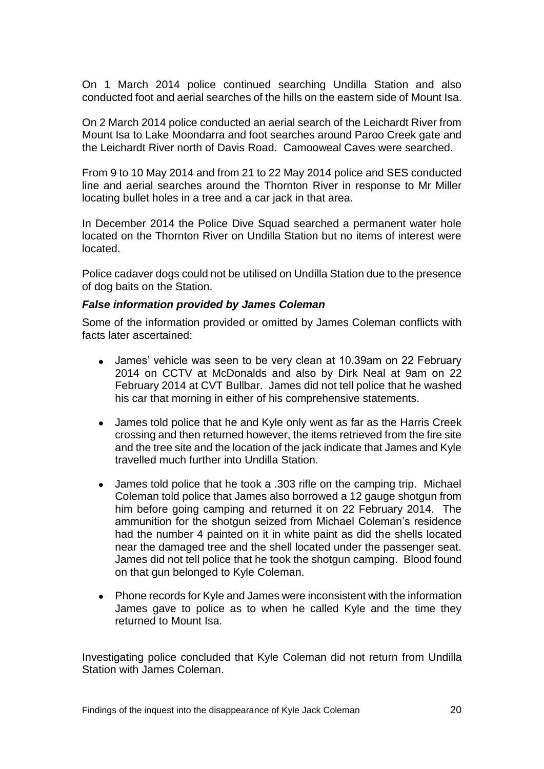On 1 March 2014 police continued searching Undilla Station and also conducted foot and aerial searches of the hills on the eastern side of Mount Isa.

On 2 March 2014 police conducted an aerial search of the Leichardt River from Mount Isa to Lake Moondarra and foot searches around Paroo Creek gate and the Leichardt River north of Davis Road. Camooweal Caves were searched.

From 9 to 10 May 2014 and from 21 to 22 May 2014 police and SES conducted line and aerial searches around the Thornton River in response to Mr Miller locating bullet holes in a tree and a car jack in that area.

In December 2014 the Police Dive Squad searched a permanent water hole located on the Thornton River on Undilla Station but no items of interest were located.

Police cadaver dogs could not be utilised on Undilla Station due to the presence of dog baits on the Station.

#### *False information provided by James Coleman*

Some of the information provided or omitted by James Coleman conflicts with facts later ascertained:

- James' vehicle was seen to be very clean at 10.39am on 22 February 2014 on CCTV at McDonalds and also by Dirk Neal at 9am on 22 February 2014 at CVT Bullbar. James did not tell police that he washed his car that morning in either of his comprehensive statements.
- James told police that he and Kyle only went as far as the Harris Creek crossing and then returned however, the items retrieved from the fire site and the tree site and the location of the jack indicate that James and Kyle travelled much further into Undilla Station.
- James told police that he took a .303 rifle on the camping trip. Michael Coleman told police that James also borrowed a 12 gauge shotgun from him before going camping and returned it on 22 February 2014. The ammunition for the shotgun seized from Michael Coleman's residence had the number 4 painted on it in white paint as did the shells located near the damaged tree and the shell located under the passenger seat. James did not tell police that he took the shotgun camping. Blood found on that gun belonged to Kyle Coleman.
- Phone records for Kyle and James were inconsistent with the information James gave to police as to when he called Kyle and the time they returned to Mount Isa.

Investigating police concluded that Kyle Coleman did not return from Undilla Station with James Coleman.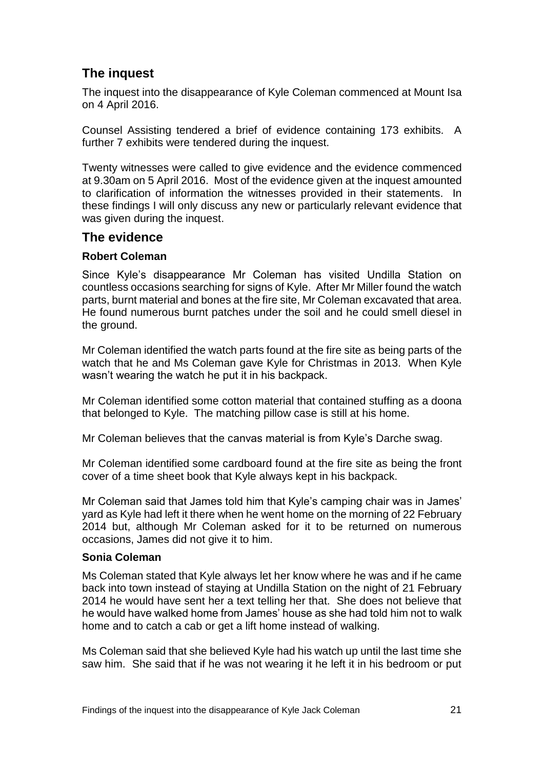## **The inquest**

The inquest into the disappearance of Kyle Coleman commenced at Mount Isa on 4 April 2016.

Counsel Assisting tendered a brief of evidence containing 173 exhibits. A further 7 exhibits were tendered during the inquest.

Twenty witnesses were called to give evidence and the evidence commenced at 9.30am on 5 April 2016. Most of the evidence given at the inquest amounted to clarification of information the witnesses provided in their statements. In these findings I will only discuss any new or particularly relevant evidence that was given during the inquest.

### **The evidence**

#### **Robert Coleman**

Since Kyle's disappearance Mr Coleman has visited Undilla Station on countless occasions searching for signs of Kyle. After Mr Miller found the watch parts, burnt material and bones at the fire site, Mr Coleman excavated that area. He found numerous burnt patches under the soil and he could smell diesel in the ground.

Mr Coleman identified the watch parts found at the fire site as being parts of the watch that he and Ms Coleman gave Kyle for Christmas in 2013. When Kyle wasn't wearing the watch he put it in his backpack.

Mr Coleman identified some cotton material that contained stuffing as a doona that belonged to Kyle. The matching pillow case is still at his home.

Mr Coleman believes that the canvas material is from Kyle's Darche swag.

Mr Coleman identified some cardboard found at the fire site as being the front cover of a time sheet book that Kyle always kept in his backpack.

Mr Coleman said that James told him that Kyle's camping chair was in James' yard as Kyle had left it there when he went home on the morning of 22 February 2014 but, although Mr Coleman asked for it to be returned on numerous occasions, James did not give it to him.

#### **Sonia Coleman**

Ms Coleman stated that Kyle always let her know where he was and if he came back into town instead of staying at Undilla Station on the night of 21 February 2014 he would have sent her a text telling her that. She does not believe that he would have walked home from James' house as she had told him not to walk home and to catch a cab or get a lift home instead of walking.

Ms Coleman said that she believed Kyle had his watch up until the last time she saw him. She said that if he was not wearing it he left it in his bedroom or put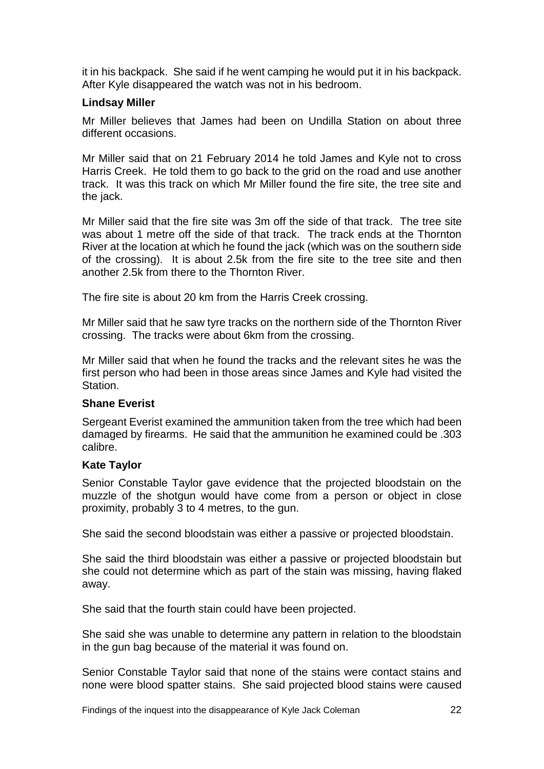it in his backpack. She said if he went camping he would put it in his backpack. After Kyle disappeared the watch was not in his bedroom.

#### **Lindsay Miller**

Mr Miller believes that James had been on Undilla Station on about three different occasions.

Mr Miller said that on 21 February 2014 he told James and Kyle not to cross Harris Creek. He told them to go back to the grid on the road and use another track. It was this track on which Mr Miller found the fire site, the tree site and the jack.

Mr Miller said that the fire site was 3m off the side of that track. The tree site was about 1 metre off the side of that track. The track ends at the Thornton River at the location at which he found the jack (which was on the southern side of the crossing). It is about 2.5k from the fire site to the tree site and then another 2.5k from there to the Thornton River.

The fire site is about 20 km from the Harris Creek crossing.

Mr Miller said that he saw tyre tracks on the northern side of the Thornton River crossing. The tracks were about 6km from the crossing.

Mr Miller said that when he found the tracks and the relevant sites he was the first person who had been in those areas since James and Kyle had visited the Station.

#### **Shane Everist**

Sergeant Everist examined the ammunition taken from the tree which had been damaged by firearms. He said that the ammunition he examined could be .303 calibre.

#### **Kate Taylor**

Senior Constable Taylor gave evidence that the projected bloodstain on the muzzle of the shotgun would have come from a person or object in close proximity, probably 3 to 4 metres, to the gun.

She said the second bloodstain was either a passive or projected bloodstain.

She said the third bloodstain was either a passive or projected bloodstain but she could not determine which as part of the stain was missing, having flaked away.

She said that the fourth stain could have been projected.

She said she was unable to determine any pattern in relation to the bloodstain in the gun bag because of the material it was found on.

Senior Constable Taylor said that none of the stains were contact stains and none were blood spatter stains. She said projected blood stains were caused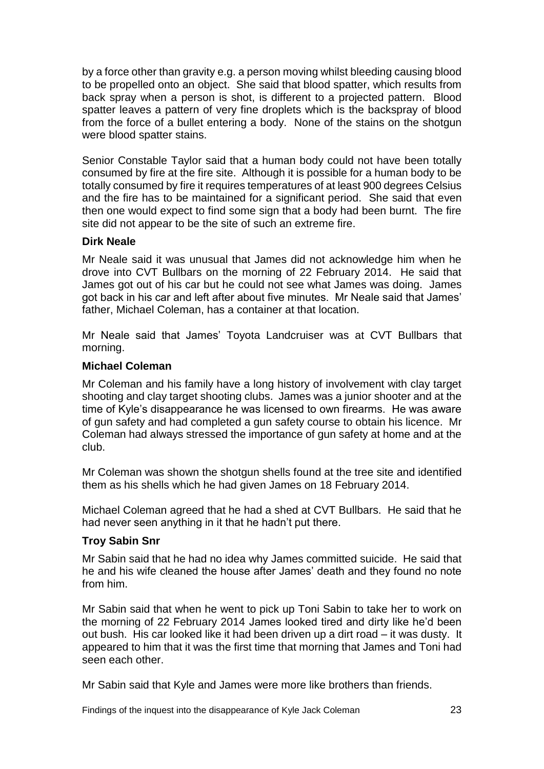by a force other than gravity e.g. a person moving whilst bleeding causing blood to be propelled onto an object. She said that blood spatter, which results from back spray when a person is shot, is different to a projected pattern. Blood spatter leaves a pattern of very fine droplets which is the backspray of blood from the force of a bullet entering a body. None of the stains on the shotgun were blood spatter stains.

Senior Constable Taylor said that a human body could not have been totally consumed by fire at the fire site. Although it is possible for a human body to be totally consumed by fire it requires temperatures of at least 900 degrees Celsius and the fire has to be maintained for a significant period. She said that even then one would expect to find some sign that a body had been burnt. The fire site did not appear to be the site of such an extreme fire.

#### **Dirk Neale**

Mr Neale said it was unusual that James did not acknowledge him when he drove into CVT Bullbars on the morning of 22 February 2014. He said that James got out of his car but he could not see what James was doing. James got back in his car and left after about five minutes. Mr Neale said that James' father, Michael Coleman, has a container at that location.

Mr Neale said that James' Toyota Landcruiser was at CVT Bullbars that morning.

#### **Michael Coleman**

Mr Coleman and his family have a long history of involvement with clay target shooting and clay target shooting clubs. James was a junior shooter and at the time of Kyle's disappearance he was licensed to own firearms. He was aware of gun safety and had completed a gun safety course to obtain his licence. Mr Coleman had always stressed the importance of gun safety at home and at the club.

Mr Coleman was shown the shotgun shells found at the tree site and identified them as his shells which he had given James on 18 February 2014.

Michael Coleman agreed that he had a shed at CVT Bullbars. He said that he had never seen anything in it that he hadn't put there.

#### **Troy Sabin Snr**

Mr Sabin said that he had no idea why James committed suicide. He said that he and his wife cleaned the house after James' death and they found no note from him.

Mr Sabin said that when he went to pick up Toni Sabin to take her to work on the morning of 22 February 2014 James looked tired and dirty like he'd been out bush. His car looked like it had been driven up a dirt road – it was dusty. It appeared to him that it was the first time that morning that James and Toni had seen each other.

Mr Sabin said that Kyle and James were more like brothers than friends.

Findings of the inquest into the disappearance of Kyle Jack Coleman 23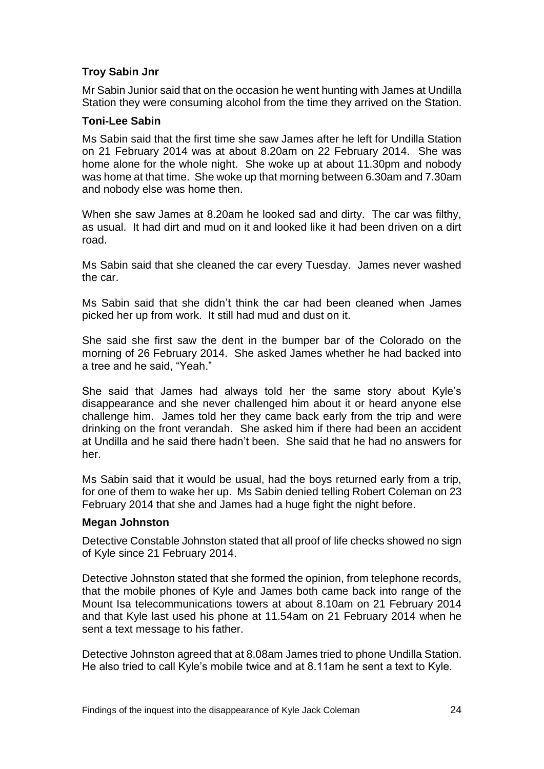#### **Troy Sabin Jnr**

Mr Sabin Junior said that on the occasion he went hunting with James at Undilla Station they were consuming alcohol from the time they arrived on the Station.

#### **Toni-Lee Sabin**

Ms Sabin said that the first time she saw James after he left for Undilla Station on 21 February 2014 was at about 8.20am on 22 February 2014. She was home alone for the whole night. She woke up at about 11.30pm and nobody was home at that time. She woke up that morning between 6.30am and 7.30am and nobody else was home then.

When she saw James at 8.20am he looked sad and dirty. The car was filthy, as usual. It had dirt and mud on it and looked like it had been driven on a dirt road.

Ms Sabin said that she cleaned the car every Tuesday. James never washed the car.

Ms Sabin said that she didn't think the car had been cleaned when James picked her up from work. It still had mud and dust on it.

She said she first saw the dent in the bumper bar of the Colorado on the morning of 26 February 2014. She asked James whether he had backed into a tree and he said, "Yeah."

She said that James had always told her the same story about Kyle's disappearance and she never challenged him about it or heard anyone else challenge him. James told her they came back early from the trip and were drinking on the front verandah. She asked him if there had been an accident at Undilla and he said there hadn't been. She said that he had no answers for her.

Ms Sabin said that it would be usual, had the boys returned early from a trip, for one of them to wake her up. Ms Sabin denied telling Robert Coleman on 23 February 2014 that she and James had a huge fight the night before.

#### **Megan Johnston**

Detective Constable Johnston stated that all proof of life checks showed no sign of Kyle since 21 February 2014.

Detective Johnston stated that she formed the opinion, from telephone records, that the mobile phones of Kyle and James both came back into range of the Mount Isa telecommunications towers at about 8.10am on 21 February 2014 and that Kyle last used his phone at 11.54am on 21 February 2014 when he sent a text message to his father.

Detective Johnston agreed that at 8.08am James tried to phone Undilla Station. He also tried to call Kyle's mobile twice and at 8.11am he sent a text to Kyle.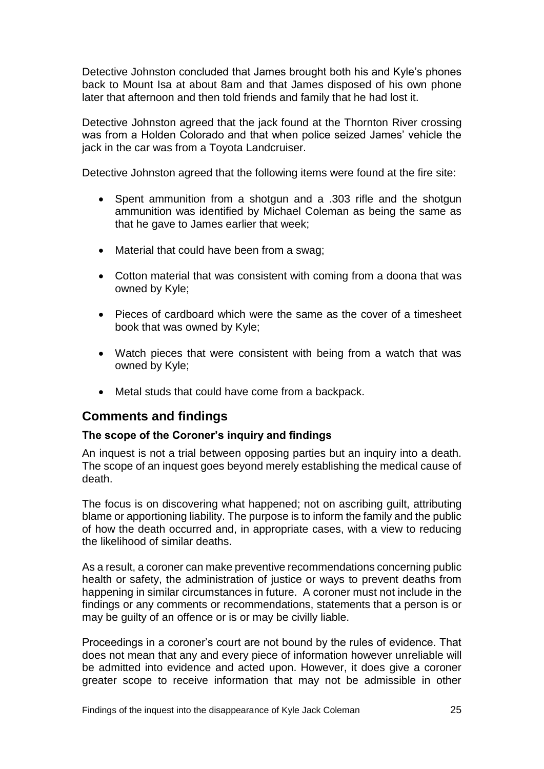Detective Johnston concluded that James brought both his and Kyle's phones back to Mount Isa at about 8am and that James disposed of his own phone later that afternoon and then told friends and family that he had lost it.

Detective Johnston agreed that the jack found at the Thornton River crossing was from a Holden Colorado and that when police seized James' vehicle the jack in the car was from a Toyota Landcruiser.

Detective Johnston agreed that the following items were found at the fire site:

- Spent ammunition from a shotgun and a .303 rifle and the shotgun ammunition was identified by Michael Coleman as being the same as that he gave to James earlier that week;
- Material that could have been from a swag;
- Cotton material that was consistent with coming from a doona that was owned by Kyle;
- Pieces of cardboard which were the same as the cover of a timesheet book that was owned by Kyle;
- Watch pieces that were consistent with being from a watch that was owned by Kyle;
- Metal studs that could have come from a backpack.

#### **Comments and findings**

#### **The scope of the Coroner's inquiry and findings**

An inquest is not a trial between opposing parties but an inquiry into a death. The scope of an inquest goes beyond merely establishing the medical cause of death.

The focus is on discovering what happened; not on ascribing guilt, attributing blame or apportioning liability. The purpose is to inform the family and the public of how the death occurred and, in appropriate cases, with a view to reducing the likelihood of similar deaths.

As a result, a coroner can make preventive recommendations concerning public health or safety, the administration of justice or ways to prevent deaths from happening in similar circumstances in future. A coroner must not include in the findings or any comments or recommendations, statements that a person is or may be guilty of an offence or is or may be civilly liable.

Proceedings in a coroner's court are not bound by the rules of evidence. That does not mean that any and every piece of information however unreliable will be admitted into evidence and acted upon. However, it does give a coroner greater scope to receive information that may not be admissible in other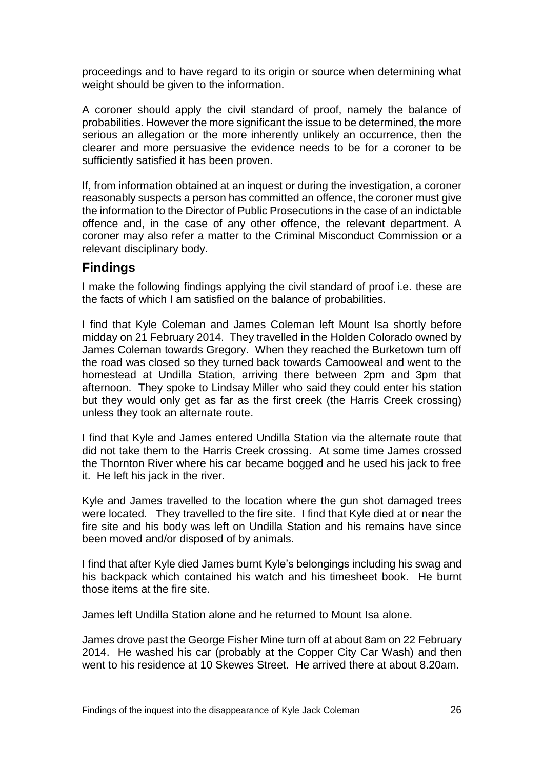proceedings and to have regard to its origin or source when determining what weight should be given to the information.

A coroner should apply the civil standard of proof, namely the balance of probabilities. However the more significant the issue to be determined, the more serious an allegation or the more inherently unlikely an occurrence, then the clearer and more persuasive the evidence needs to be for a coroner to be sufficiently satisfied it has been proven.

If, from information obtained at an inquest or during the investigation, a coroner reasonably suspects a person has committed an offence, the coroner must give the information to the Director of Public Prosecutions in the case of an indictable offence and, in the case of any other offence, the relevant department. A coroner may also refer a matter to the Criminal Misconduct Commission or a relevant disciplinary body.

## **Findings**

I make the following findings applying the civil standard of proof i.e. these are the facts of which I am satisfied on the balance of probabilities.

I find that Kyle Coleman and James Coleman left Mount Isa shortly before midday on 21 February 2014. They travelled in the Holden Colorado owned by James Coleman towards Gregory. When they reached the Burketown turn off the road was closed so they turned back towards Camooweal and went to the homestead at Undilla Station, arriving there between 2pm and 3pm that afternoon. They spoke to Lindsay Miller who said they could enter his station but they would only get as far as the first creek (the Harris Creek crossing) unless they took an alternate route.

I find that Kyle and James entered Undilla Station via the alternate route that did not take them to the Harris Creek crossing. At some time James crossed the Thornton River where his car became bogged and he used his jack to free it. He left his jack in the river.

Kyle and James travelled to the location where the gun shot damaged trees were located. They travelled to the fire site. I find that Kyle died at or near the fire site and his body was left on Undilla Station and his remains have since been moved and/or disposed of by animals.

I find that after Kyle died James burnt Kyle's belongings including his swag and his backpack which contained his watch and his timesheet book. He burnt those items at the fire site.

James left Undilla Station alone and he returned to Mount Isa alone.

James drove past the George Fisher Mine turn off at about 8am on 22 February 2014. He washed his car (probably at the Copper City Car Wash) and then went to his residence at 10 Skewes Street. He arrived there at about 8.20am.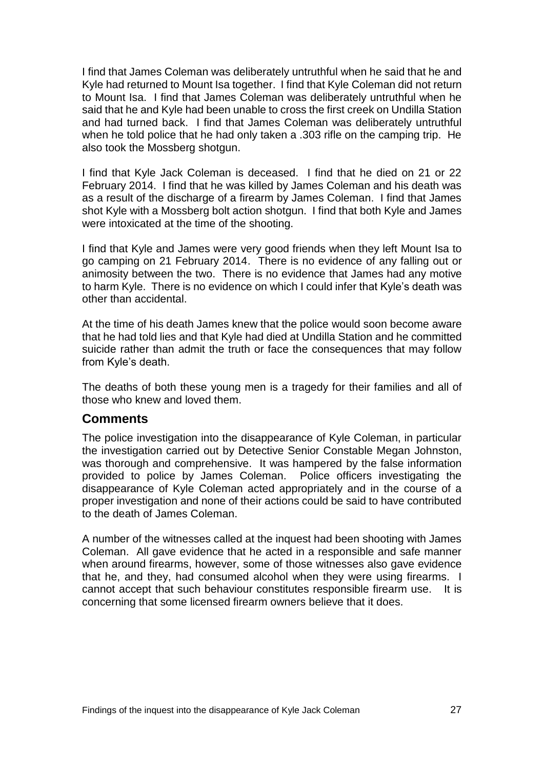I find that James Coleman was deliberately untruthful when he said that he and Kyle had returned to Mount Isa together. I find that Kyle Coleman did not return to Mount Isa. I find that James Coleman was deliberately untruthful when he said that he and Kyle had been unable to cross the first creek on Undilla Station and had turned back. I find that James Coleman was deliberately untruthful when he told police that he had only taken a .303 rifle on the camping trip. He also took the Mossberg shotgun.

I find that Kyle Jack Coleman is deceased. I find that he died on 21 or 22 February 2014. I find that he was killed by James Coleman and his death was as a result of the discharge of a firearm by James Coleman. I find that James shot Kyle with a Mossberg bolt action shotgun. I find that both Kyle and James were intoxicated at the time of the shooting.

I find that Kyle and James were very good friends when they left Mount Isa to go camping on 21 February 2014. There is no evidence of any falling out or animosity between the two. There is no evidence that James had any motive to harm Kyle. There is no evidence on which I could infer that Kyle's death was other than accidental.

At the time of his death James knew that the police would soon become aware that he had told lies and that Kyle had died at Undilla Station and he committed suicide rather than admit the truth or face the consequences that may follow from Kyle's death.

The deaths of both these young men is a tragedy for their families and all of those who knew and loved them.

#### **Comments**

The police investigation into the disappearance of Kyle Coleman, in particular the investigation carried out by Detective Senior Constable Megan Johnston, was thorough and comprehensive. It was hampered by the false information provided to police by James Coleman. Police officers investigating the disappearance of Kyle Coleman acted appropriately and in the course of a proper investigation and none of their actions could be said to have contributed to the death of James Coleman.

A number of the witnesses called at the inquest had been shooting with James Coleman. All gave evidence that he acted in a responsible and safe manner when around firearms, however, some of those witnesses also gave evidence that he, and they, had consumed alcohol when they were using firearms. I cannot accept that such behaviour constitutes responsible firearm use. It is concerning that some licensed firearm owners believe that it does.